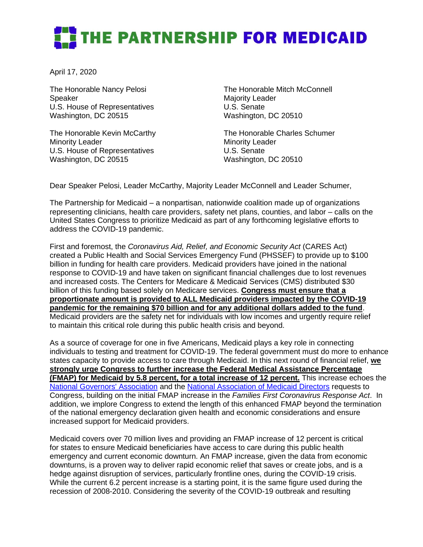## THE PARTNERSHIP FOR MEDICAID

April 17, 2020

The Honorable Nancy Pelosi Speaker U.S. House of Representatives Washington, DC 20515

The Honorable Kevin McCarthy Minority Leader U.S. House of Representatives Washington, DC 20515

The Honorable Mitch McConnell Majority Leader U.S. Senate Washington, DC 20510

The Honorable Charles Schumer Minority Leader U.S. Senate Washington, DC 20510

Dear Speaker Pelosi, Leader McCarthy, Majority Leader McConnell and Leader Schumer,

The Partnership for Medicaid – a nonpartisan, nationwide coalition made up of organizations representing clinicians, health care providers, safety net plans, counties, and labor – calls on the United States Congress to prioritize Medicaid as part of any forthcoming legislative efforts to address the COVID-19 pandemic.

First and foremost, the *Coronavirus Aid, Relief, and Economic Security Act* (CARES Act) created a Public Health and Social Services Emergency Fund (PHSSEF) to provide up to \$100 billion in funding for health care providers. Medicaid providers have joined in the national response to COVID-19 and have taken on significant financial challenges due to lost revenues and increased costs. The Centers for Medicare & Medicaid Services (CMS) distributed \$30 billion of this funding based solely on Medicare services. **Congress must ensure that a proportionate amount is provided to ALL Medicaid providers impacted by the COVID-19 pandemic for the remaining \$70 billion and for any additional dollars added to the fund**. Medicaid providers are the safety net for individuals with low incomes and urgently require relief to maintain this critical role during this public health crisis and beyond.

As a source of coverage for one in five Americans, Medicaid plays a key role in connecting individuals to testing and treatment for COVID-19. The federal government must do more to enhance states capacity to provide access to care through Medicaid. In this next round of financial relief, **we strongly urge Congress to further increase the Federal Medical Assistance Percentage (FMAP) for Medicaid by 5.8 percent, for a total increase of 12 percent.** This increase echoes the [National Governors' Association](https://www.nga.org/letters-nga/health-human-services-committee/governors-request-for-third-congressional-supplemental-bill/) and the [National Association of Medicaid Directors](https://medicaiddirectors.org/wp-content/uploads/2020/04/NAMD-Medicaid-Requests-for-COVID-19-Legislation.pdf) requests to Congress, building on the initial FMAP increase in the *Families First Coronavirus Response Act*. In addition, we implore Congress to extend the length of this enhanced FMAP beyond the termination of the national emergency declaration given health and economic considerations and ensure increased support for Medicaid providers.

Medicaid covers over 70 million lives and providing an FMAP increase of 12 percent is critical for states to ensure Medicaid beneficiaries have access to care during this public health emergency and current economic downturn. An FMAP increase, given the data from economic downturns, is a proven way to deliver rapid economic relief that saves or create jobs, and is a hedge against disruption of services, particularly frontline ones, during the COVID-19 crisis. While the current 6.2 percent increase is a starting point, it is the same figure used during the recession of 2008-2010. Considering the severity of the COVID-19 outbreak and resulting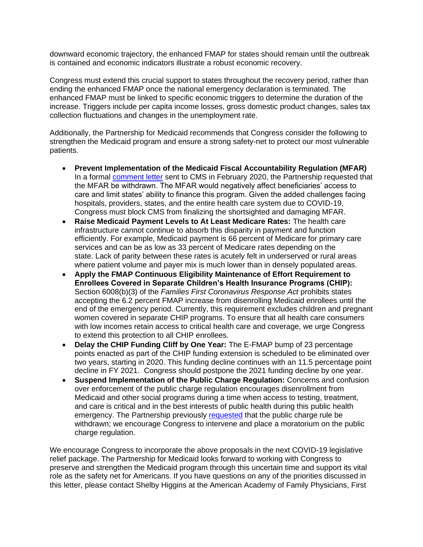downward economic trajectory, the enhanced FMAP for states should remain until the outbreak is contained and economic indicators illustrate a robust economic recovery.

Congress must extend this crucial support to states throughout the recovery period, rather than ending the enhanced FMAP once the national emergency declaration is terminated. The enhanced FMAP must be linked to specific economic triggers to determine the duration of the increase. Triggers include per capita income losses, gross domestic product changes, sales tax collection fluctuations and changes in the unemployment rate.

Additionally, the Partnership for Medicaid recommends that Congress consider the following to strengthen the Medicaid program and ensure a strong safety-net to protect our most vulnerable patients.

- **Prevent Implementation of the Medicaid Fiscal Accountability Regulation (MFAR)**  In a formal [comment letter](http://www.partnershipformedicaid.org/wp-content/uploads/2020/01/P4M-MFAR-Sign-on-FINAL.pdf) sent to CMS in February 2020, the Partnership requested that the MFAR be withdrawn. The MFAR would negatively affect beneficiaries' access to care and limit states' ability to finance this program. Given the added challenges facing hospitals, providers, states, and the entire health care system due to COVID-19, Congress must block CMS from finalizing the shortsighted and damaging MFAR.
- **Raise Medicaid Payment Levels to At Least Medicare Rates:** The health care infrastructure cannot continue to absorb this disparity in payment and function efficiently. For example, Medicaid payment is 66 percent of Medicare for primary care services and can be as low as 33 percent of Medicare rates depending on the state. Lack of parity between these rates is acutely felt in underserved or rural areas where patient volume and payer mix is much lower than in densely populated areas.
- **Apply the FMAP Continuous Eligibility Maintenance of Effort Requirement to Enrollees Covered in Separate Children's Health Insurance Programs (CHIP):**  Section 6008(b)(3) of the *Families First Coronavirus Response Act* prohibits states accepting the 6.2 percent FMAP increase from disenrolling Medicaid enrollees until the end of the emergency period. Currently, this requirement excludes children and pregnant women covered in separate CHIP programs. To ensure that all health care consumers with low incomes retain access to critical health care and coverage, we urge Congress to extend this protection to all CHIP enrollees.
- **Delay the CHIP Funding Cliff by One Year:** The E-FMAP bump of 23 percentage points enacted as part of the CHIP funding extension is scheduled to be eliminated over two years, starting in 2020. This funding decline continues with an 11.5 percentage point decline in FY 2021. Congress should postpone the 2021 funding decline by one year.
- **Suspend Implementation of the Public Charge Regulation:** Concerns and confusion over enforcement of the public charge regulation encourages disenrollment from Medicaid and other social programs during a time when access to testing, treatment, and care is critical and in the best interests of public health during this public health emergency. The Partnership previously [requested](http://www.partnershipformedicaid.org/wp-content/uploads/2019/06/2018-12-10-Public-Charge.pdf) that the public charge rule be withdrawn; we encourage Congress to intervene and place a moratorium on the public charge regulation.

We encourage Congress to incorporate the above proposals in the next COVID-19 legislative relief package. The Partnership for Medicaid looks forward to working with Congress to preserve and strengthen the Medicaid program through this uncertain time and support its vital role as the safety net for Americans. If you have questions on any of the priorities discussed in this letter, please contact Shelby Higgins at the American Academy of Family Physicians, First